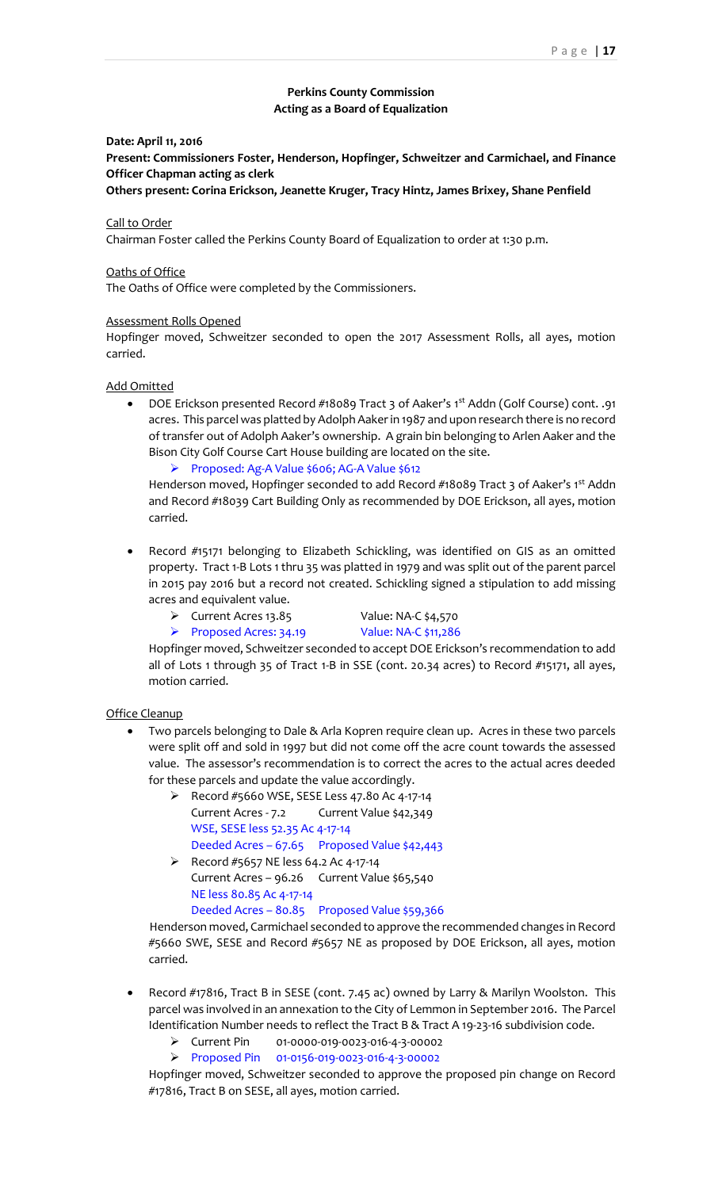# **Perkins County Commission Acting as a Board of Equalization**

### **Date: April 11, 2016**

**Present: Commissioners Foster, Henderson, Hopfinger, Schweitzer and Carmichael, and Finance Officer Chapman acting as clerk**

**Others present: Corina Erickson, Jeanette Kruger, Tracy Hintz, James Brixey, Shane Penfield** 

## Call to Order

Chairman Foster called the Perkins County Board of Equalization to order at 1:30 p.m.

#### Oaths of Office

The Oaths of Office were completed by the Commissioners.

#### Assessment Rolls Opened

Hopfinger moved, Schweitzer seconded to open the 2017 Assessment Rolls, all ayes, motion carried.

### Add Omitted

• DOE Erickson presented Record #18089 Tract 3 of Aaker's 1<sup>st</sup> Addn (Golf Course) cont. .91 acres. This parcel was platted by Adolph Aaker in 1987 and upon research there is no record of transfer out of Adolph Aaker's ownership. A grain bin belonging to Arlen Aaker and the Bison City Golf Course Cart House building are located on the site.

➢ Proposed: Ag-A Value \$606; AG-A Value \$612

Henderson moved, Hopfinger seconded to add Record #18089 Tract 3 of Aaker's 1st Addn and Record #18039 Cart Building Only as recommended by DOE Erickson, all ayes, motion carried.

- Record #15171 belonging to Elizabeth Schickling, was identified on GIS as an omitted property. Tract 1-B Lots 1 thru 35 was platted in 1979 and was split out of the parent parcel in 2015 pay 2016 but a record not created. Schickling signed a stipulation to add missing acres and equivalent value.
	- ➢ Current Acres 13.85 Value: NA-C \$4,570
		-
	- ➢ Proposed Acres: 34.19 Value: NA-C \$11,286
		-

Hopfinger moved, Schweitzer seconded to accept DOE Erickson's recommendation to add all of Lots 1 through 35 of Tract 1-B in SSE (cont. 20.34 acres) to Record #15171, all ayes, motion carried.

### Office Cleanup

- Two parcels belonging to Dale & Arla Kopren require clean up. Acres in these two parcels were split off and sold in 1997 but did not come off the acre count towards the assessed value. The assessor's recommendation is to correct the acres to the actual acres deeded for these parcels and update the value accordingly.
	- ➢ Record #5660 WSE, SESE Less 47.80 Ac 4-17-14 Current Acres - 7.2 Current Value \$42,349 WSE, SESE less 52.35 Ac 4-17-14 Deeded Acres – 67.65 Proposed Value \$42,443
	- ➢ Record #5657 NE less 64.2 Ac 4-17-14 Current Acres – 96.26 Current Value \$65,540 NE less 80.85 Ac 4-17-14 Deeded Acres – 80.85 Proposed Value \$59,366

Henderson moved, Carmichael seconded to approve the recommended changes in Record #5660 SWE, SESE and Record #5657 NE as proposed by DOE Erickson, all ayes, motion carried.

- Record #17816, Tract B in SESE (cont. 7.45 ac) owned by Larry & Marilyn Woolston. This parcel was involved in an annexation to the City of Lemmon in September 2016. The Parcel Identification Number needs to reflect the Tract B & Tract A 19-23-16 subdivision code.
	- ➢ Current Pin 01-0000-019-0023-016-4-3-00002
	- ➢ Proposed Pin 01-0156-019-0023-016-4-3-00002

Hopfinger moved, Schweitzer seconded to approve the proposed pin change on Record #17816, Tract B on SESE, all ayes, motion carried.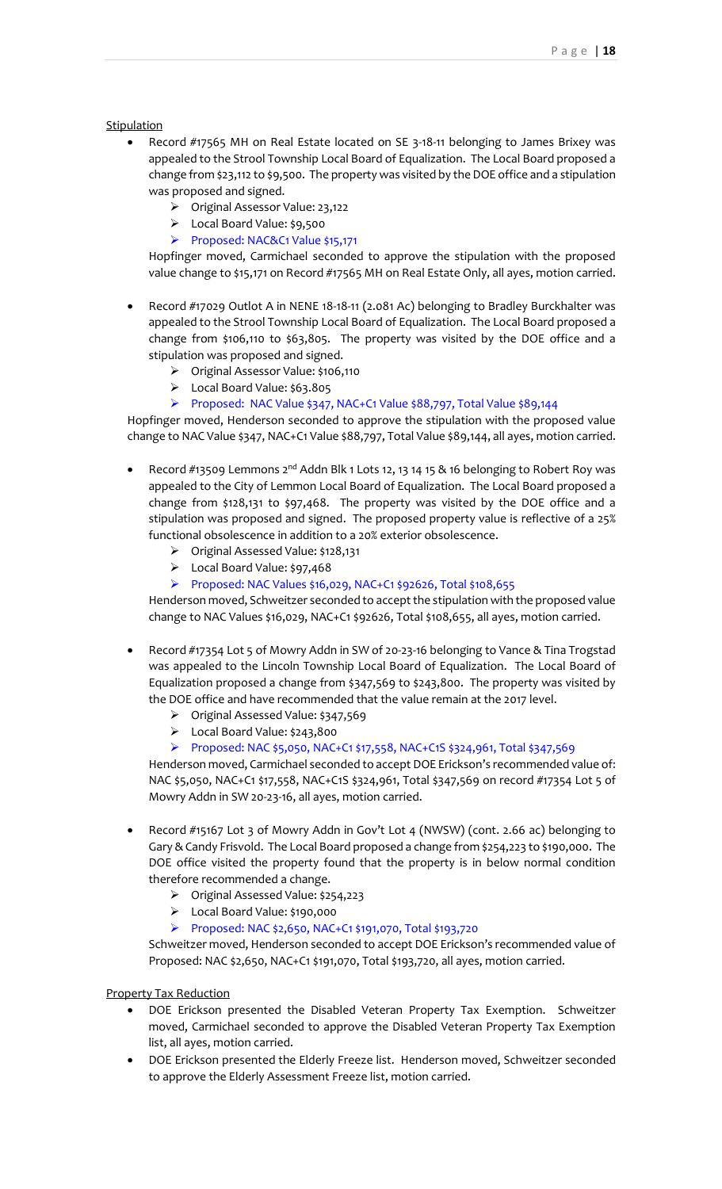**Stipulation** 

- Record #17565 MH on Real Estate located on SE 3-18-11 belonging to James Brixey was appealed to the Strool Township Local Board of Equalization. The Local Board proposed a change from \$23,112 to \$9,500. The property was visited by the DOE office and a stipulation was proposed and signed.
	- ➢ Original Assessor Value: 23,122
	- ➢ Local Board Value: \$9,500
	- ➢ Proposed: NAC&C1 Value \$15,171

Hopfinger moved, Carmichael seconded to approve the stipulation with the proposed value change to \$15,171 on Record #17565 MH on Real Estate Only, all ayes, motion carried.

- Record #17029 Outlot A in NENE 18-18-11 (2.081 Ac) belonging to Bradley Burckhalter was appealed to the Strool Township Local Board of Equalization. The Local Board proposed a change from \$106,110 to \$63,805. The property was visited by the DOE office and a stipulation was proposed and signed.
	- ➢ Original Assessor Value: \$106,110
	- ➢ Local Board Value: \$63.805
	- ➢ Proposed: NAC Value \$347, NAC+C1 Value \$88,797, Total Value \$89,144

Hopfinger moved, Henderson seconded to approve the stipulation with the proposed value change to NAC Value \$347, NAC+C1 Value \$88,797, Total Value \$89,144, all ayes, motion carried.

- Record #13509 Lemmons 2<sup>nd</sup> Addn Blk 1 Lots 12, 13 14 15 & 16 belonging to Robert Roy was appealed to the City of Lemmon Local Board of Equalization. The Local Board proposed a change from \$128,131 to \$97,468. The property was visited by the DOE office and a stipulation was proposed and signed. The proposed property value is reflective of a 25% functional obsolescence in addition to a 20% exterior obsolescence.
	- ➢ Original Assessed Value: \$128,131
	- ➢ Local Board Value: \$97,468
	- ➢ Proposed: NAC Values \$16,029, NAC+C1 \$92626, Total \$108,655

Henderson moved, Schweitzer seconded to accept the stipulation with the proposed value change to NAC Values \$16,029, NAC+C1 \$92626, Total \$108,655, all ayes, motion carried.

- Record #17354 Lot 5 of Mowry Addn in SW of 20-23-16 belonging to Vance & Tina Trogstad was appealed to the Lincoln Township Local Board of Equalization. The Local Board of Equalization proposed a change from \$347,569 to \$243,800. The property was visited by the DOE office and have recommended that the value remain at the 2017 level.
	- ➢ Original Assessed Value: \$347,569
	- ➢ Local Board Value: \$243,800
	- ➢ Proposed: NAC \$5,050, NAC+C1 \$17,558, NAC+C1S \$324,961, Total \$347,569

Henderson moved, Carmichael seconded to accept DOE Erickson's recommended value of: NAC \$5,050, NAC+C1 \$17,558, NAC+C1S \$324,961, Total \$347,569 on record #17354 Lot 5 of Mowry Addn in SW 20-23-16, all ayes, motion carried.

- Record #15167 Lot 3 of Mowry Addn in Gov't Lot 4 (NWSW) (cont. 2.66 ac) belonging to Gary & Candy Frisvold. The Local Board proposed a change from \$254,223 to \$190,000. The DOE office visited the property found that the property is in below normal condition therefore recommended a change.
	- ➢ Original Assessed Value: \$254,223
	- ➢ Local Board Value: \$190,000
	- ➢ Proposed: NAC \$2,650, NAC+C1 \$191,070, Total \$193,720

Schweitzer moved, Henderson seconded to accept DOE Erickson's recommended value of Proposed: NAC \$2,650, NAC+C1 \$191,070, Total \$193,720, all ayes, motion carried.

Property Tax Reduction

- DOE Erickson presented the Disabled Veteran Property Tax Exemption. Schweitzer moved, Carmichael seconded to approve the Disabled Veteran Property Tax Exemption list, all ayes, motion carried.
- DOE Erickson presented the Elderly Freeze list. Henderson moved, Schweitzer seconded to approve the Elderly Assessment Freeze list, motion carried.